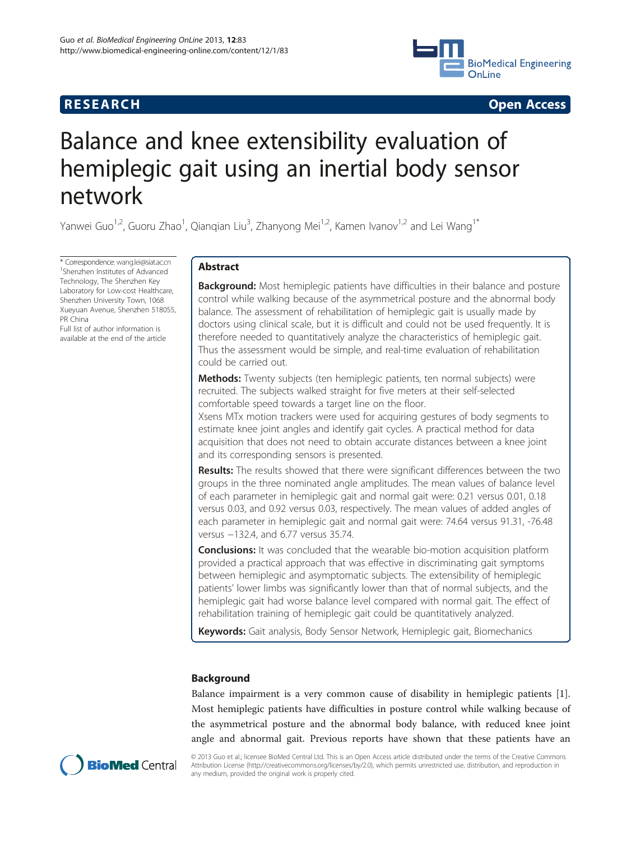# **RESEARCH CHINESE ARCH CHINESE ARCH CHINESE ARCH**



# Balance and knee extensibility evaluation of hemiplegic gait using an inertial body sensor network

Yanwei Guo<sup>1,2</sup>, Guoru Zhao<sup>1</sup>, Qianqian Liu<sup>3</sup>, Zhanyong Mei<sup>1,2</sup>, Kamen Ivanov<sup>1,2</sup> and Lei Wang<sup>1\*</sup>

\* Correspondence: [wang.lei@siat.ac.cn](mailto:wang.lei@siat.ac.cn) <sup>1</sup> <sup>1</sup>Shenzhen Institutes of Advanced Technology, The Shenzhen Key Laboratory for Low-cost Healthcare, Shenzhen University Town, 1068 Xueyuan Avenue, Shenzhen 518055, PR China Full list of author information is available at the end of the article

# Abstract

**Background:** Most hemiplegic patients have difficulties in their balance and posture control while walking because of the asymmetrical posture and the abnormal body balance. The assessment of rehabilitation of hemiplegic gait is usually made by doctors using clinical scale, but it is difficult and could not be used frequently. It is therefore needed to quantitatively analyze the characteristics of hemiplegic gait. Thus the assessment would be simple, and real-time evaluation of rehabilitation could be carried out.

Methods: Twenty subjects (ten hemiplegic patients, ten normal subjects) were recruited. The subjects walked straight for five meters at their self-selected comfortable speed towards a target line on the floor.

Xsens MTx motion trackers were used for acquiring gestures of body segments to estimate knee joint angles and identify gait cycles. A practical method for data acquisition that does not need to obtain accurate distances between a knee joint and its corresponding sensors is presented.

**Results:** The results showed that there were significant differences between the two groups in the three nominated angle amplitudes. The mean values of balance level of each parameter in hemiplegic gait and normal gait were: 0.21 versus 0.01, 0.18 versus 0.03, and 0.92 versus 0.03, respectively. The mean values of added angles of each parameter in hemiplegic gait and normal gait were: 74.64 versus 91.31, -76.48 versus −132.4, and 6.77 versus 35.74.

**Conclusions:** It was concluded that the wearable bio-motion acquisition platform provided a practical approach that was effective in discriminating gait symptoms between hemiplegic and asymptomatic subjects. The extensibility of hemiplegic patients' lower limbs was significantly lower than that of normal subjects, and the hemiplegic gait had worse balance level compared with normal gait. The effect of rehabilitation training of hemiplegic gait could be quantitatively analyzed.

Keywords: Gait analysis, Body Sensor Network, Hemiplegic gait, Biomechanics

# Background

Balance impairment is a very common cause of disability in hemiplegic patients [\[1](#page-12-0)]. Most hemiplegic patients have difficulties in posture control while walking because of the asymmetrical posture and the abnormal body balance, with reduced knee joint angle and abnormal gait. Previous reports have shown that these patients have an



© 2013 Guo et al.; licensee BioMed Central Ltd. This is an Open Access article distributed under the terms of the Creative Commons Attribution License (<http://creativecommons.org/licenses/by/2.0>), which permits unrestricted use, distribution, and reproduction in any medium, provided the original work is properly cited.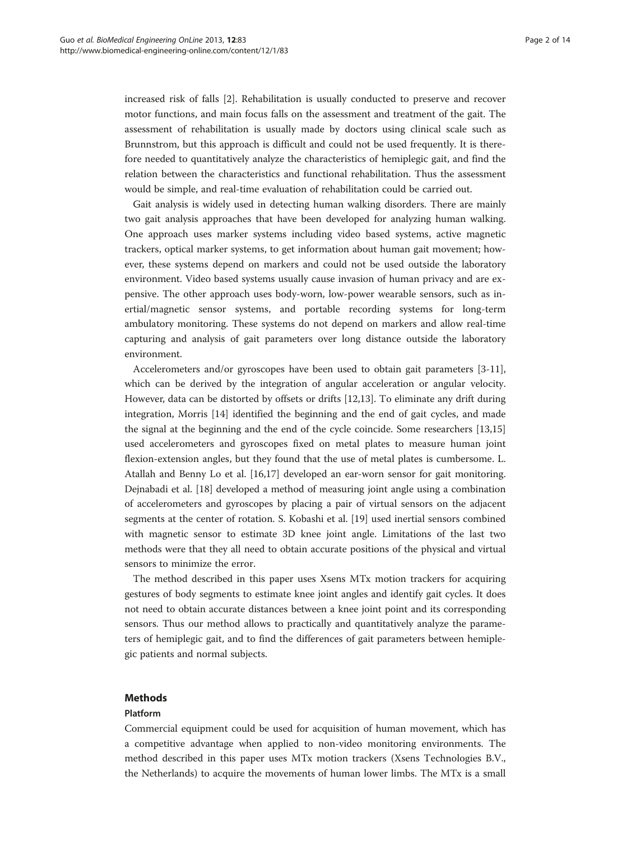increased risk of falls [[2\]](#page-12-0). Rehabilitation is usually conducted to preserve and recover motor functions, and main focus falls on the assessment and treatment of the gait. The assessment of rehabilitation is usually made by doctors using clinical scale such as Brunnstrom, but this approach is difficult and could not be used frequently. It is therefore needed to quantitatively analyze the characteristics of hemiplegic gait, and find the relation between the characteristics and functional rehabilitation. Thus the assessment would be simple, and real-time evaluation of rehabilitation could be carried out.

Gait analysis is widely used in detecting human walking disorders. There are mainly two gait analysis approaches that have been developed for analyzing human walking. One approach uses marker systems including video based systems, active magnetic trackers, optical marker systems, to get information about human gait movement; however, these systems depend on markers and could not be used outside the laboratory environment. Video based systems usually cause invasion of human privacy and are expensive. The other approach uses body-worn, low-power wearable sensors, such as inertial/magnetic sensor systems, and portable recording systems for long-term ambulatory monitoring. These systems do not depend on markers and allow real-time capturing and analysis of gait parameters over long distance outside the laboratory environment.

Accelerometers and/or gyroscopes have been used to obtain gait parameters [\[3-11](#page-12-0)], which can be derived by the integration of angular acceleration or angular velocity. However, data can be distorted by offsets or drifts [\[12,13\]](#page-12-0). To eliminate any drift during integration, Morris [[14\]](#page-12-0) identified the beginning and the end of gait cycles, and made the signal at the beginning and the end of the cycle coincide. Some researchers [[13,15](#page-12-0)] used accelerometers and gyroscopes fixed on metal plates to measure human joint flexion-extension angles, but they found that the use of metal plates is cumbersome. L. Atallah and Benny Lo et al. [\[16](#page-12-0)[,17\]](#page-13-0) developed an ear-worn sensor for gait monitoring. Dejnabadi et al. [[18\]](#page-13-0) developed a method of measuring joint angle using a combination of accelerometers and gyroscopes by placing a pair of virtual sensors on the adjacent segments at the center of rotation. S. Kobashi et al. [[19](#page-13-0)] used inertial sensors combined with magnetic sensor to estimate 3D knee joint angle. Limitations of the last two methods were that they all need to obtain accurate positions of the physical and virtual sensors to minimize the error.

The method described in this paper uses Xsens MTx motion trackers for acquiring gestures of body segments to estimate knee joint angles and identify gait cycles. It does not need to obtain accurate distances between a knee joint point and its corresponding sensors. Thus our method allows to practically and quantitatively analyze the parameters of hemiplegic gait, and to find the differences of gait parameters between hemiplegic patients and normal subjects.

# Methods

# Platform

Commercial equipment could be used for acquisition of human movement, which has a competitive advantage when applied to non-video monitoring environments. The method described in this paper uses MTx motion trackers (Xsens Technologies B.V., the Netherlands) to acquire the movements of human lower limbs. The MTx is a small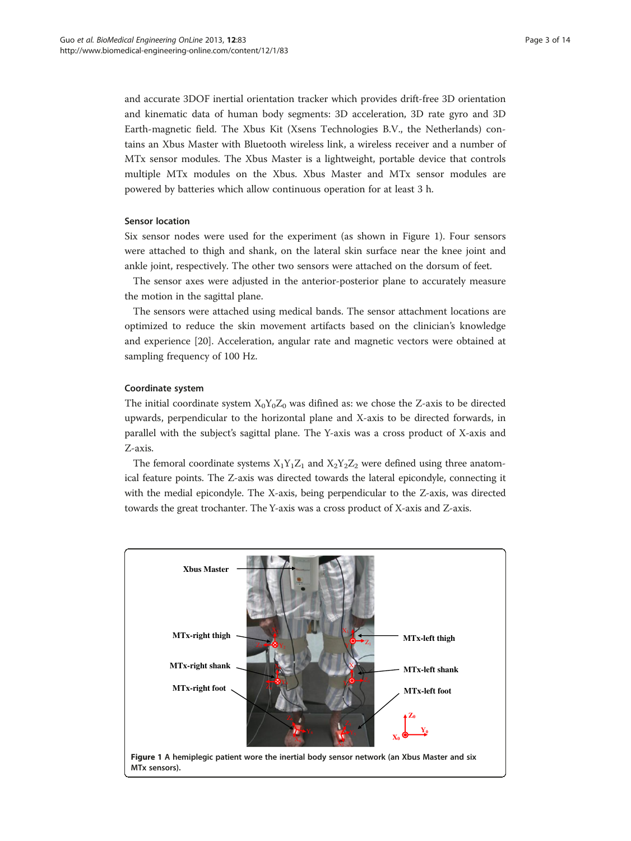and accurate 3DOF inertial orientation tracker which provides drift-free 3D orientation and kinematic data of human body segments: 3D acceleration, 3D rate gyro and 3D Earth-magnetic field. The Xbus Kit (Xsens Technologies B.V., the Netherlands) contains an Xbus Master with Bluetooth wireless link, a wireless receiver and a number of MTx sensor modules. The Xbus Master is a lightweight, portable device that controls multiple MTx modules on the Xbus. Xbus Master and MTx sensor modules are powered by batteries which allow continuous operation for at least 3 h.

#### Sensor location

Six sensor nodes were used for the experiment (as shown in Figure 1). Four sensors were attached to thigh and shank, on the lateral skin surface near the knee joint and ankle joint, respectively. The other two sensors were attached on the dorsum of feet.

The sensor axes were adjusted in the anterior-posterior plane to accurately measure the motion in the sagittal plane.

The sensors were attached using medical bands. The sensor attachment locations are optimized to reduce the skin movement artifacts based on the clinician's knowledge and experience [[20](#page-13-0)]. Acceleration, angular rate and magnetic vectors were obtained at sampling frequency of 100 Hz.

#### Coordinate system

The initial coordinate system  $X_0Y_0Z_0$  was difined as: we chose the Z-axis to be directed upwards, perpendicular to the horizontal plane and X-axis to be directed forwards, in parallel with the subject's sagittal plane. The Y-axis was a cross product of X-axis and Z-axis.

The femoral coordinate systems  $X_1Y_1Z_1$  and  $X_2Y_2Z_2$  were defined using three anatomical feature points. The Z-axis was directed towards the lateral epicondyle, connecting it with the medial epicondyle. The X-axis, being perpendicular to the Z-axis, was directed towards the great trochanter. The Y-axis was a cross product of X-axis and Z-axis.

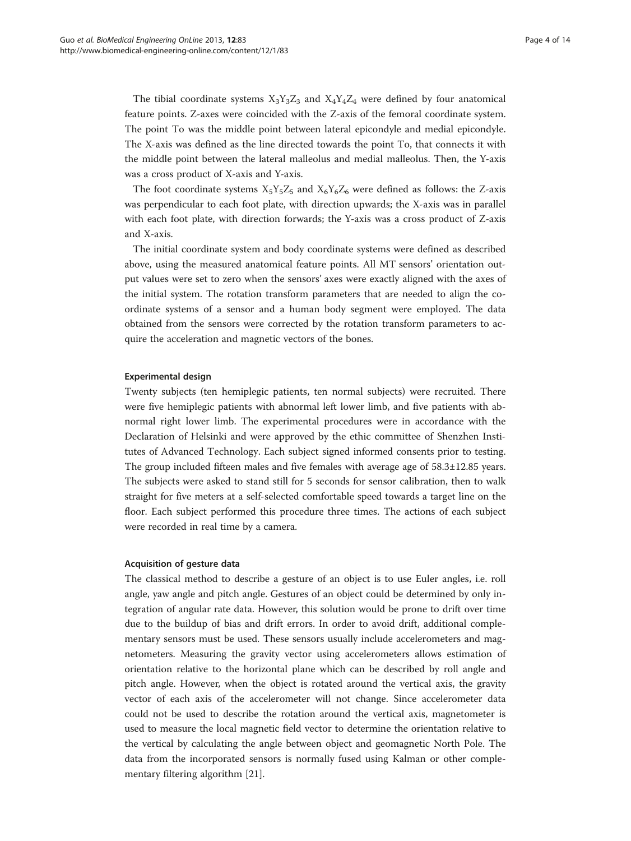The tibial coordinate systems  $X_3Y_3Z_3$  and  $X_4Y_4Z_4$  were defined by four anatomical feature points. Z-axes were coincided with the Z-axis of the femoral coordinate system. The point To was the middle point between lateral epicondyle and medial epicondyle. The X-axis was defined as the line directed towards the point To, that connects it with the middle point between the lateral malleolus and medial malleolus. Then, the Y-axis was a cross product of X-axis and Y-axis.

The foot coordinate systems  $X_5Y_5Z_5$  and  $X_6Y_6Z_6$  were defined as follows: the Z-axis was perpendicular to each foot plate, with direction upwards; the X-axis was in parallel with each foot plate, with direction forwards; the Y-axis was a cross product of Z-axis and X-axis.

The initial coordinate system and body coordinate systems were defined as described above, using the measured anatomical feature points. All MT sensors' orientation output values were set to zero when the sensors' axes were exactly aligned with the axes of the initial system. The rotation transform parameters that are needed to align the coordinate systems of a sensor and a human body segment were employed. The data obtained from the sensors were corrected by the rotation transform parameters to acquire the acceleration and magnetic vectors of the bones.

#### Experimental design

Twenty subjects (ten hemiplegic patients, ten normal subjects) were recruited. There were five hemiplegic patients with abnormal left lower limb, and five patients with abnormal right lower limb. The experimental procedures were in accordance with the Declaration of Helsinki and were approved by the ethic committee of Shenzhen Institutes of Advanced Technology. Each subject signed informed consents prior to testing. The group included fifteen males and five females with average age of 58.3±12.85 years. The subjects were asked to stand still for 5 seconds for sensor calibration, then to walk straight for five meters at a self-selected comfortable speed towards a target line on the floor. Each subject performed this procedure three times. The actions of each subject were recorded in real time by a camera.

#### Acquisition of gesture data

The classical method to describe a gesture of an object is to use Euler angles, i.e. roll angle, yaw angle and pitch angle. Gestures of an object could be determined by only integration of angular rate data. However, this solution would be prone to drift over time due to the buildup of bias and drift errors. In order to avoid drift, additional complementary sensors must be used. These sensors usually include accelerometers and magnetometers. Measuring the gravity vector using accelerometers allows estimation of orientation relative to the horizontal plane which can be described by roll angle and pitch angle. However, when the object is rotated around the vertical axis, the gravity vector of each axis of the accelerometer will not change. Since accelerometer data could not be used to describe the rotation around the vertical axis, magnetometer is used to measure the local magnetic field vector to determine the orientation relative to the vertical by calculating the angle between object and geomagnetic North Pole. The data from the incorporated sensors is normally fused using Kalman or other complementary filtering algorithm [[21\]](#page-13-0).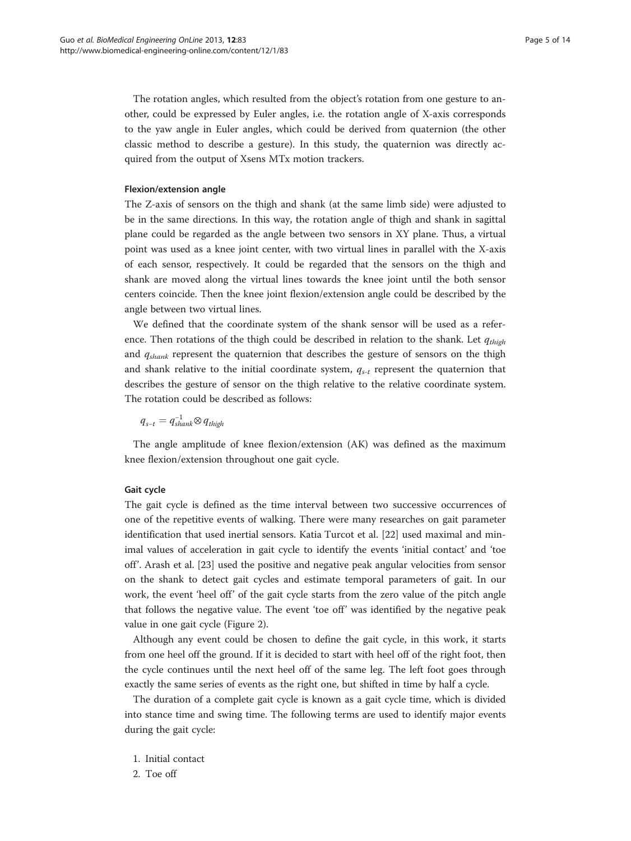The rotation angles, which resulted from the object's rotation from one gesture to another, could be expressed by Euler angles, i.e. the rotation angle of X-axis corresponds to the yaw angle in Euler angles, which could be derived from quaternion (the other classic method to describe a gesture). In this study, the quaternion was directly acquired from the output of Xsens MTx motion trackers.

### Flexion/extension angle

The Z-axis of sensors on the thigh and shank (at the same limb side) were adjusted to be in the same directions. In this way, the rotation angle of thigh and shank in sagittal plane could be regarded as the angle between two sensors in XY plane. Thus, a virtual point was used as a knee joint center, with two virtual lines in parallel with the X-axis of each sensor, respectively. It could be regarded that the sensors on the thigh and shank are moved along the virtual lines towards the knee joint until the both sensor centers coincide. Then the knee joint flexion/extension angle could be described by the angle between two virtual lines.

We defined that the coordinate system of the shank sensor will be used as a reference. Then rotations of the thigh could be described in relation to the shank. Let  $q_{thich}$ and  $q_{shank}$  represent the quaternion that describes the gesture of sensors on the thigh and shank relative to the initial coordinate system,  $q_{s-t}$  represent the quaternion that describes the gesture of sensor on the thigh relative to the relative coordinate system. The rotation could be described as follows:

 $q_{s-t} = q_{shank}^{-1} ⊗ q_{thigh}$ 

The angle amplitude of knee flexion/extension (AK) was defined as the maximum knee flexion/extension throughout one gait cycle.

### Gait cycle

The gait cycle is defined as the time interval between two successive occurrences of one of the repetitive events of walking. There were many researches on gait parameter identification that used inertial sensors. Katia Turcot et al. [[22](#page-13-0)] used maximal and minimal values of acceleration in gait cycle to identify the events 'initial contact' and 'toe off'. Arash et al. [[23\]](#page-13-0) used the positive and negative peak angular velocities from sensor on the shank to detect gait cycles and estimate temporal parameters of gait. In our work, the event 'heel off' of the gait cycle starts from the zero value of the pitch angle that follows the negative value. The event 'toe off' was identified by the negative peak value in one gait cycle (Figure [2](#page-5-0)).

Although any event could be chosen to define the gait cycle, in this work, it starts from one heel off the ground. If it is decided to start with heel off of the right foot, then the cycle continues until the next heel off of the same leg. The left foot goes through exactly the same series of events as the right one, but shifted in time by half a cycle.

The duration of a complete gait cycle is known as a gait cycle time, which is divided into stance time and swing time. The following terms are used to identify major events during the gait cycle:

- 1. Initial contact
- 2. Toe off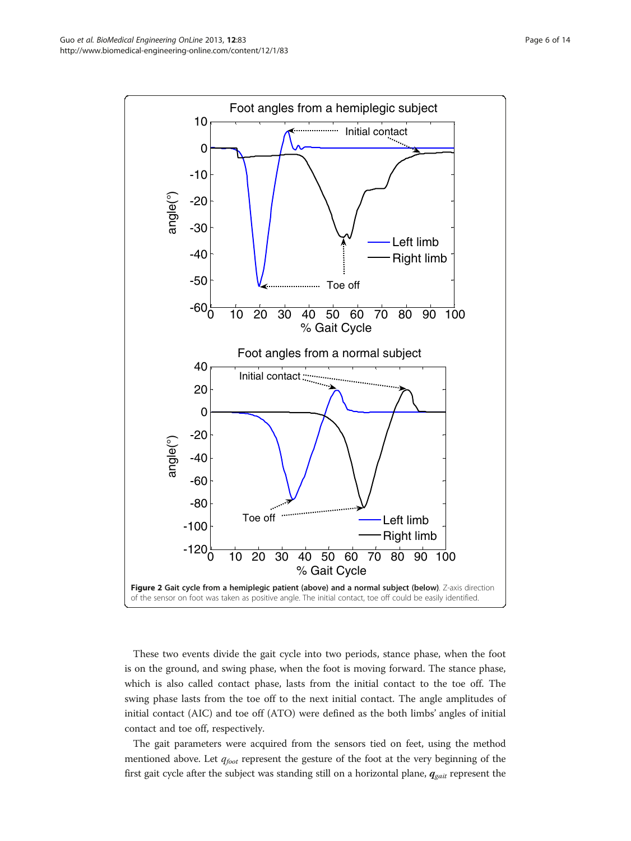<span id="page-5-0"></span>

These two events divide the gait cycle into two periods, stance phase, when the foot is on the ground, and swing phase, when the foot is moving forward. The stance phase, which is also called contact phase, lasts from the initial contact to the toe off. The swing phase lasts from the toe off to the next initial contact. The angle amplitudes of initial contact (AIC) and toe off (ATO) were defined as the both limbs' angles of initial contact and toe off, respectively.

The gait parameters were acquired from the sensors tied on feet, using the method mentioned above. Let  $q_{foot}$  represent the gesture of the foot at the very beginning of the first gait cycle after the subject was standing still on a horizontal plane,  $q_{\text{gait}}$  represent the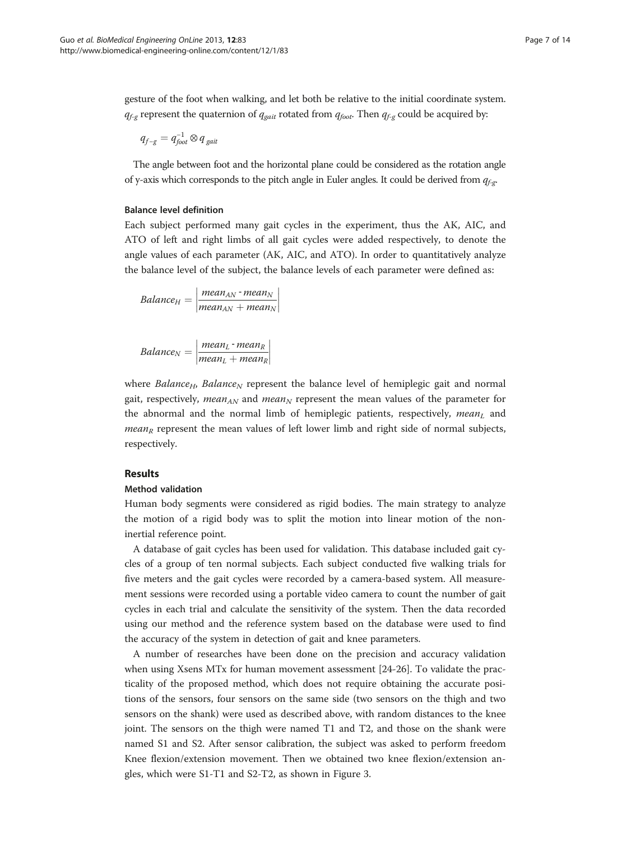gesture of the foot when walking, and let both be relative to the initial coordinate system.  $q_{f-g}$  represent the quaternion of  $q_{gait}$  rotated from  $q_{foot}$ . Then  $q_{f-g}$  could be acquired by:

$$
q_{f-g} = q_{foot}^{-1} \otimes q_{gait}
$$

The angle between foot and the horizontal plane could be considered as the rotation angle of y-axis which corresponds to the pitch angle in Euler angles. It could be derived from  $q_{f,p}$ .

# Balance level definition

Each subject performed many gait cycles in the experiment, thus the AK, AIC, and ATO of left and right limbs of all gait cycles were added respectively, to denote the angle values of each parameter (AK, AIC, and ATO). In order to quantitatively analyze the balance level of the subject, the balance levels of each parameter were defined as:

$$
Balance_{H} = \left| \frac{mean_{AN} \cdot mean_{N}}{mean_{AN} + mean_{N}} \right|
$$

$$
Balance_N = \left| \frac{mean_L \cdot mean_R}{mean_L + mean_R} \right|
$$

where Balance<sub>H</sub>, Balance<sub>N</sub> represent the balance level of hemiplegic gait and normal gait, respectively, mean<sub>AN</sub> and mean<sub>N</sub> represent the mean values of the parameter for the abnormal and the normal limb of hemiplegic patients, respectively,  $mean<sub>L</sub>$  and *mean<sub>R</sub>* represent the mean values of left lower limb and right side of normal subjects, respectively.

# Results

### Method validation

Human body segments were considered as rigid bodies. The main strategy to analyze the motion of a rigid body was to split the motion into linear motion of the noninertial reference point.

A database of gait cycles has been used for validation. This database included gait cycles of a group of ten normal subjects. Each subject conducted five walking trials for five meters and the gait cycles were recorded by a camera-based system. All measurement sessions were recorded using a portable video camera to count the number of gait cycles in each trial and calculate the sensitivity of the system. Then the data recorded using our method and the reference system based on the database were used to find the accuracy of the system in detection of gait and knee parameters.

A number of researches have been done on the precision and accuracy validation when using Xsens MTx for human movement assessment [[24-26\]](#page-13-0). To validate the practicality of the proposed method, which does not require obtaining the accurate positions of the sensors, four sensors on the same side (two sensors on the thigh and two sensors on the shank) were used as described above, with random distances to the knee joint. The sensors on the thigh were named T1 and T2, and those on the shank were named S1 and S2. After sensor calibration, the subject was asked to perform freedom Knee flexion/extension movement. Then we obtained two knee flexion/extension angles, which were S1-T1 and S2-T2, as shown in Figure [3](#page-7-0).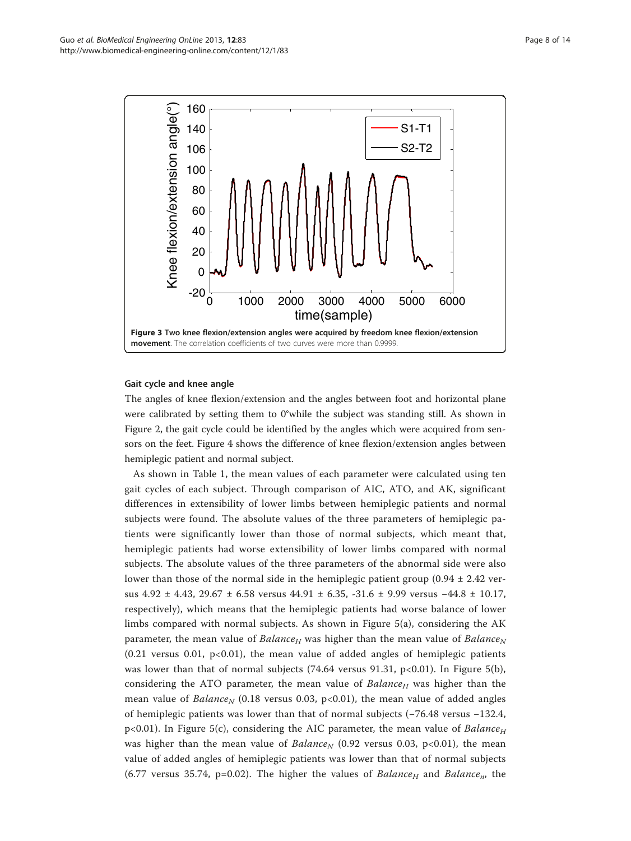<span id="page-7-0"></span>

# Gait cycle and knee angle

The angles of knee flexion/extension and the angles between foot and horizontal plane were calibrated by setting them to 0°while the subject was standing still. As shown in Figure [2](#page-5-0), the gait cycle could be identified by the angles which were acquired from sensors on the feet. Figure [4](#page-8-0) shows the difference of knee flexion/extension angles between hemiplegic patient and normal subject.

As shown in Table [1,](#page-9-0) the mean values of each parameter were calculated using ten gait cycles of each subject. Through comparison of AIC, ATO, and AK, significant differences in extensibility of lower limbs between hemiplegic patients and normal subjects were found. The absolute values of the three parameters of hemiplegic patients were significantly lower than those of normal subjects, which meant that, hemiplegic patients had worse extensibility of lower limbs compared with normal subjects. The absolute values of the three parameters of the abnormal side were also lower than those of the normal side in the hemiplegic patient group  $(0.94 \pm 2.42 \text{ ver-}$ sus 4.92 ± 4.43, 29.67 ± 6.58 versus 44.91 ± 6.35, -31.6 ± 9.99 versus −44.8 ± 10.17, respectively), which means that the hemiplegic patients had worse balance of lower limbs compared with normal subjects. As shown in Figure [5\(](#page-10-0)a), considering the AK parameter, the mean value of Balance<sub>H</sub> was higher than the mean value of Balance<sub>N</sub>  $(0.21$  versus  $0.01$ ,  $p<0.01$ ), the mean value of added angles of hemiplegic patients was lower than that of normal subjects  $(74.64 \text{ versus } 91.31, \text{ p}<0.01)$ . In Figure [5](#page-10-0)(b), considering the ATO parameter, the mean value of  $Balance_H$  was higher than the mean value of Balance<sub>N</sub> (0.18 versus 0.03, p<0.01), the mean value of added angles of hemiplegic patients was lower than that of normal subjects (−76.48 versus −132.4,  $p<0.01$ ). In Figure [5\(](#page-10-0)c), considering the AIC parameter, the mean value of *Balance*<sub>H</sub> was higher than the mean value of Balance<sub>N</sub> (0.92 versus 0.03, p<0.01), the mean value of added angles of hemiplegic patients was lower than that of normal subjects (6.77 versus 35.74, p=0.02). The higher the values of Balance<sub>H</sub> and Balance<sub>n</sub>, the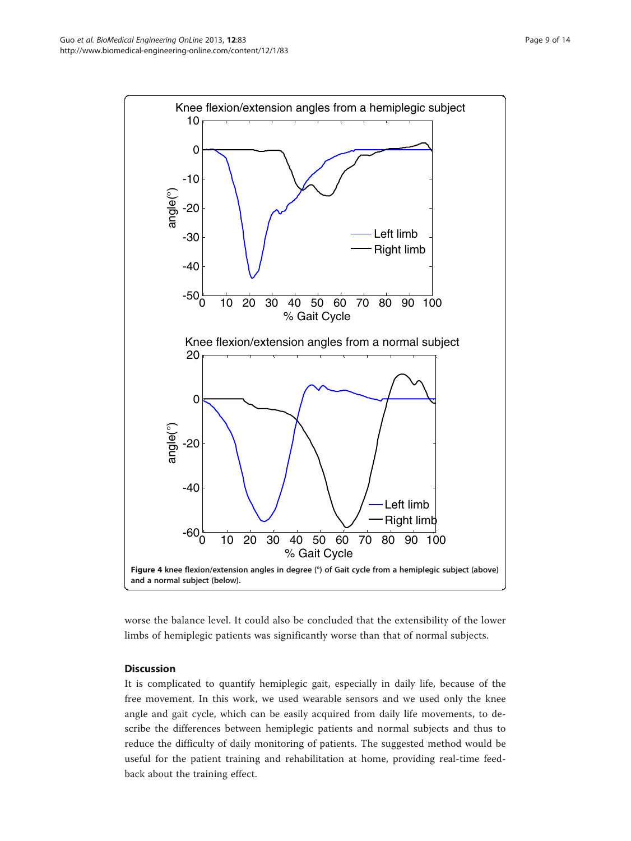<span id="page-8-0"></span>

worse the balance level. It could also be concluded that the extensibility of the lower limbs of hemiplegic patients was significantly worse than that of normal subjects.

# **Discussion**

It is complicated to quantify hemiplegic gait, especially in daily life, because of the free movement. In this work, we used wearable sensors and we used only the knee angle and gait cycle, which can be easily acquired from daily life movements, to describe the differences between hemiplegic patients and normal subjects and thus to reduce the difficulty of daily monitoring of patients. The suggested method would be useful for the patient training and rehabilitation at home, providing real-time feedback about the training effect.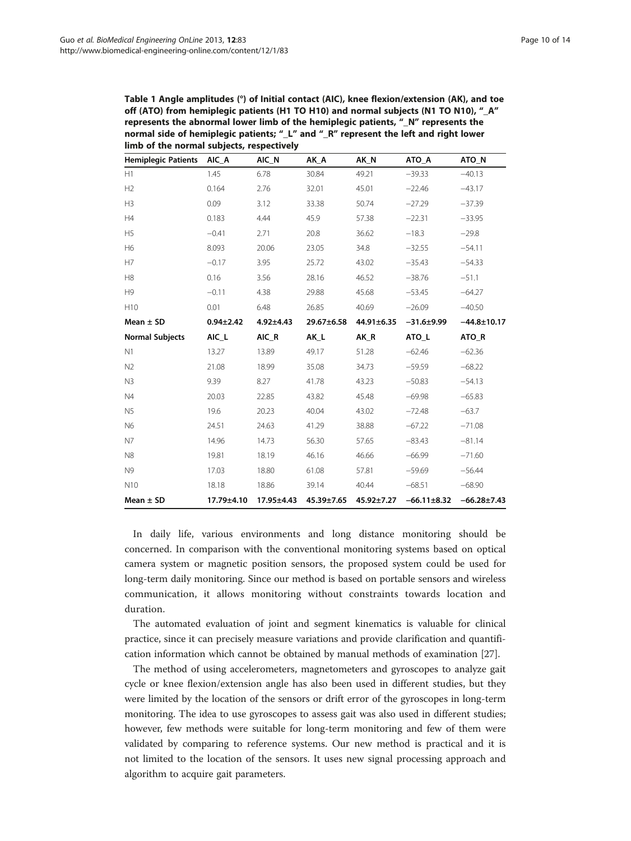<span id="page-9-0"></span>Table 1 Angle amplitudes (°) of Initial contact (AIC), knee flexion/extension (AK), and toe off (ATO) from hemiplegic patients (H1 TO H10) and normal subjects (N1 TO N10), "\_A" represents the abnormal lower limb of the hemiplegic patients, "\_N" represents the normal side of hemiplegic patients; "\_L" and "\_R" represent the left and right lower limb of the normal subjects, respectively

| <b>Hemiplegic Patients</b> | AIC A           | AIC_N           | AK A       | AK_N       | ATO_A             | ATO_N             |
|----------------------------|-----------------|-----------------|------------|------------|-------------------|-------------------|
| H1                         | 1.45            | 6.78            | 30.84      | 49.21      | $-39.33$          | $-40.13$          |
| H2                         | 0.164           | 2.76            | 32.01      | 45.01      | $-22.46$          | $-43.17$          |
| H <sub>3</sub>             | 0.09            | 3.12            | 33.38      | 50.74      | $-27.29$          | $-37.39$          |
| H4                         | 0.183           | 4.44            | 45.9       | 57.38      | $-22.31$          | $-33.95$          |
| H <sub>5</sub>             | $-0.41$         | 2.71            | 20.8       | 36.62      | $-18.3$           | $-29.8$           |
| H6                         | 8.093           | 20.06           | 23.05      | 34.8       | $-32.55$          | $-54.11$          |
| H7                         | $-0.17$         | 3.95            | 25.72      | 43.02      | $-35.43$          | $-54.33$          |
| H <sub>8</sub>             | 0.16            | 3.56            | 28.16      | 46.52      | $-38.76$          | $-51.1$           |
| H <sub>9</sub>             | $-0.11$         | 4.38            | 29.88      | 45.68      | $-53.45$          | $-64.27$          |
| H10                        | 0.01            | 6.48            | 26.85      | 40.69      | $-26.09$          | $-40.50$          |
| Mean $\pm$ SD              | $0.94 \pm 2.42$ | $4.92 \pm 4.43$ | 29.67±6.58 | 44.91±6.35 | $-31.6 + 9.99$    | $-44.8 + 10.17$   |
| <b>Normal Subjects</b>     | AIC_L           | AIC R           | AK L       | AK R       | ATO L             | ATO R             |
| N1                         | 13.27           | 13.89           | 49.17      | 51.28      | $-62.46$          | $-62.36$          |
| N <sub>2</sub>             | 21.08           | 18.99           | 35.08      | 34.73      | $-59.59$          | $-68.22$          |
| N3                         | 9.39            | 8.27            | 41.78      | 43.23      | $-50.83$          | $-54.13$          |
| N4                         | 20.03           | 22.85           | 43.82      | 45.48      | $-69.98$          | $-65.83$          |
| N <sub>5</sub>             | 19.6            | 20.23           | 40.04      | 43.02      | $-72.48$          | $-63.7$           |
| N6                         | 24.51           | 24.63           | 41.29      | 38.88      | $-67.22$          | $-71.08$          |
| N7                         | 14.96           | 14.73           | 56.30      | 57.65      | $-83.43$          | $-81.14$          |
| N <sub>8</sub>             | 19.81           | 18.19           | 46.16      | 46.66      | $-66.99$          | $-71.60$          |
| N <sub>9</sub>             | 17.03           | 18.80           | 61.08      | 57.81      | $-59.69$          | $-56.44$          |
| N <sub>10</sub>            | 18.18           | 18.86           | 39.14      | 40.44      | $-68.51$          | $-68.90$          |
| Mean $\pm$ SD              | 17.79±4.10      | 17.95±4.43      | 45.39±7.65 | 45.92±7.27 | $-66.11 \pm 8.32$ | $-66.28 \pm 7.43$ |

In daily life, various environments and long distance monitoring should be concerned. In comparison with the conventional monitoring systems based on optical camera system or magnetic position sensors, the proposed system could be used for long-term daily monitoring. Since our method is based on portable sensors and wireless communication, it allows monitoring without constraints towards location and duration.

The automated evaluation of joint and segment kinematics is valuable for clinical practice, since it can precisely measure variations and provide clarification and quantification information which cannot be obtained by manual methods of examination [\[27\]](#page-13-0).

The method of using accelerometers, magnetometers and gyroscopes to analyze gait cycle or knee flexion/extension angle has also been used in different studies, but they were limited by the location of the sensors or drift error of the gyroscopes in long-term monitoring. The idea to use gyroscopes to assess gait was also used in different studies; however, few methods were suitable for long-term monitoring and few of them were validated by comparing to reference systems. Our new method is practical and it is not limited to the location of the sensors. It uses new signal processing approach and algorithm to acquire gait parameters.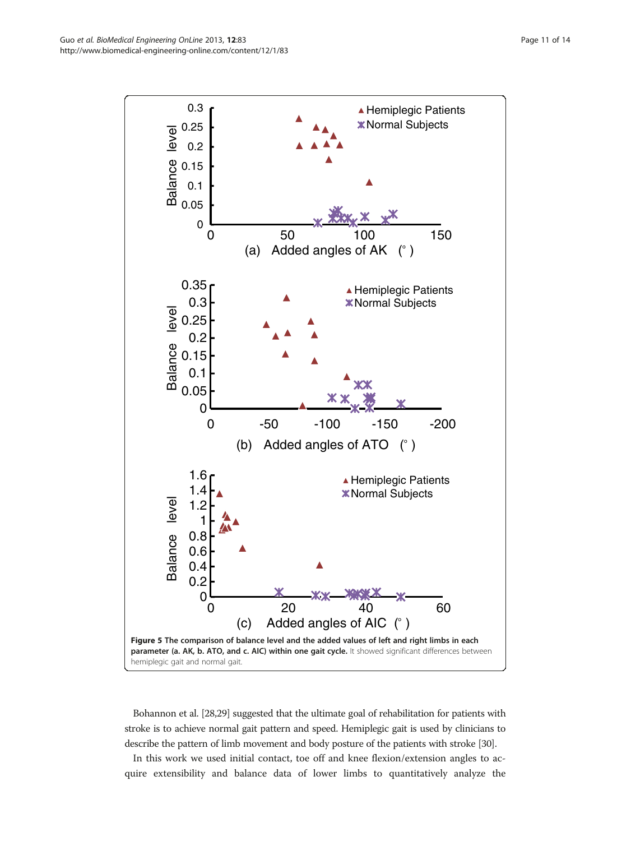<span id="page-10-0"></span>

Bohannon et al. [\[28,29](#page-13-0)] suggested that the ultimate goal of rehabilitation for patients with stroke is to achieve normal gait pattern and speed. Hemiplegic gait is used by clinicians to describe the pattern of limb movement and body posture of the patients with stroke [[30](#page-13-0)].

In this work we used initial contact, toe off and knee flexion/extension angles to acquire extensibility and balance data of lower limbs to quantitatively analyze the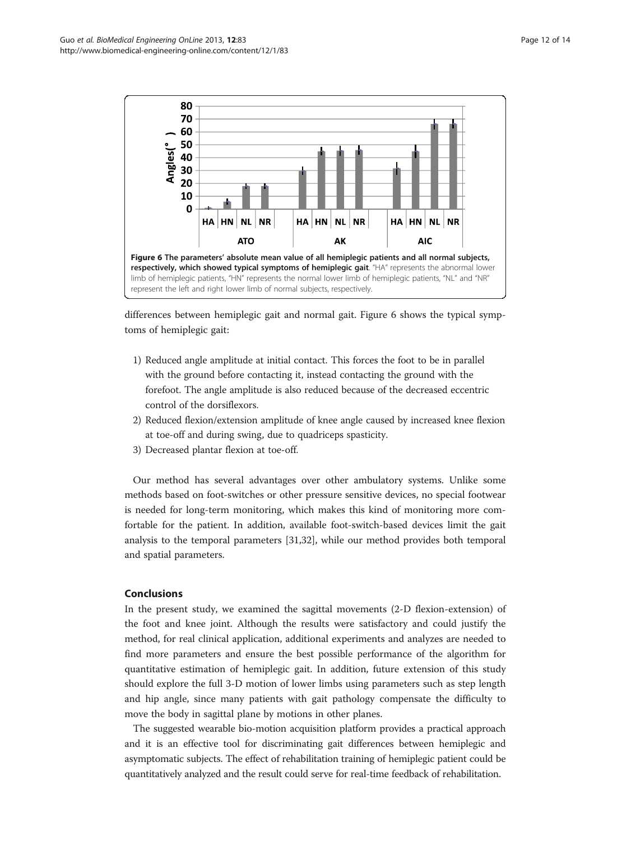

differences between hemiplegic gait and normal gait. Figure 6 shows the typical symptoms of hemiplegic gait:

- 1) Reduced angle amplitude at initial contact. This forces the foot to be in parallel with the ground before contacting it, instead contacting the ground with the forefoot. The angle amplitude is also reduced because of the decreased eccentric control of the dorsiflexors.
- 2) Reduced flexion/extension amplitude of knee angle caused by increased knee flexion at toe-off and during swing, due to quadriceps spasticity.
- 3) Decreased plantar flexion at toe-off.

Our method has several advantages over other ambulatory systems. Unlike some methods based on foot-switches or other pressure sensitive devices, no special footwear is needed for long-term monitoring, which makes this kind of monitoring more comfortable for the patient. In addition, available foot-switch-based devices limit the gait analysis to the temporal parameters [[31](#page-13-0),[32](#page-13-0)], while our method provides both temporal and spatial parameters.

### Conclusions

In the present study, we examined the sagittal movements (2-D flexion-extension) of the foot and knee joint. Although the results were satisfactory and could justify the method, for real clinical application, additional experiments and analyzes are needed to find more parameters and ensure the best possible performance of the algorithm for quantitative estimation of hemiplegic gait. In addition, future extension of this study should explore the full 3-D motion of lower limbs using parameters such as step length and hip angle, since many patients with gait pathology compensate the difficulty to move the body in sagittal plane by motions in other planes.

The suggested wearable bio-motion acquisition platform provides a practical approach and it is an effective tool for discriminating gait differences between hemiplegic and asymptomatic subjects. The effect of rehabilitation training of hemiplegic patient could be quantitatively analyzed and the result could serve for real-time feedback of rehabilitation.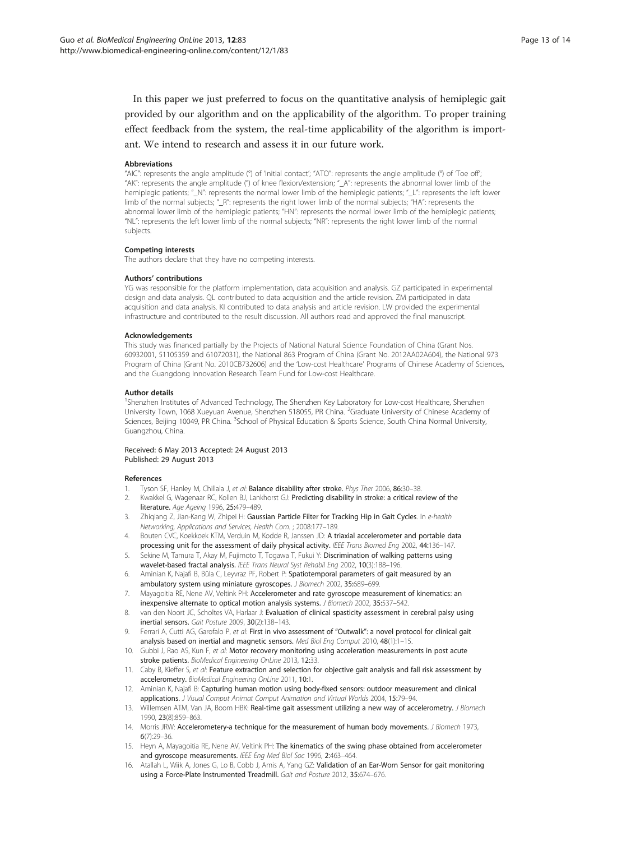<span id="page-12-0"></span>In this paper we just preferred to focus on the quantitative analysis of hemiplegic gait provided by our algorithm and on the applicability of the algorithm. To proper training effect feedback from the system, the real-time applicability of the algorithm is important. We intend to research and assess it in our future work.

#### Abbreviations

"AIC": represents the angle amplitude (°) of 'Initial contact'; "ATO": represents the angle amplitude (°) of 'Toe off'; "AK": represents the angle amplitude (°) of knee flexion/extension; "\_A": represents the abnormal lower limb of the hemiplegic patients; "\_N": represents the normal lower limb of the hemiplegic patients; "\_L": represents the left lower limb of the normal subjects; "\_R": represents the right lower limb of the normal subjects; "HA": represents the abnormal lower limb of the hemiplegic patients; "HN": represents the normal lower limb of the hemiplegic patients; "NL": represents the left lower limb of the normal subjects; "NR": represents the right lower limb of the normal subjects.

#### Competing interests

The authors declare that they have no competing interests.

#### Authors' contributions

YG was responsible for the platform implementation, data acquisition and analysis. GZ participated in experimental design and data analysis. QL contributed to data acquisition and the article revision. ZM participated in data acquisition and data analysis. KI contributed to data analysis and article revision. LW provided the experimental infrastructure and contributed to the result discussion. All authors read and approved the final manuscript.

#### Acknowledgements

This study was financed partially by the Projects of National Natural Science Foundation of China (Grant Nos. 60932001, 51105359 and 61072031), the National 863 Program of China (Grant No. 2012AA02A604), the National 973 Program of China (Grant No. 2010CB732606) and the 'Low-cost Healthcare' Programs of Chinese Academy of Sciences, and the Guangdong Innovation Research Team Fund for Low-cost Healthcare.

#### Author details

<sup>1</sup>Shenzhen Institutes of Advanced Technology, The Shenzhen Key Laboratory for Low-cost Healthcare, Shenzhen University Town, 1068 Xueyuan Avenue, Shenzhen 518055, PR China. <sup>2</sup>Graduate University of Chinese Academy of Sciences, Beijing 10049, PR China. <sup>3</sup>School of Physical Education & Sports Science, South China Normal University, Guangzhou, China.

#### Received: 6 May 2013 Accepted: 24 August 2013 Published: 29 August 2013

#### References

- 1. Tyson SF, Hanley M, Chillala J, et al: Balance disability after stroke. Phys Ther 2006, 86:30-38.
- 2. Kwakkel G, Wagenaar RC, Kollen BJ, Lankhorst GJ: Predicting disability in stroke: a critical review of the literature. Age Ageing 1996, 25:479–489.
- 3. Zhigiang Z, Jian-Kang W, Zhipei H: Gaussian Particle Filter for Tracking Hip in Gait Cycles. In e-health Networking, Applications and Services, Health Com. ; 2008:177–189.
- 4. Bouten CVC, Koekkoek KTM, Verduin M, Kodde R, Janssen JD: A triaxial accelerometer and portable data processing unit for the assessment of daily physical activity. IEEE Trans Biomed Eng 2002, 44:136-147.
- Sekine M, Tamura T, Akay M, Fujimoto T, Togawa T, Fukui Y: Discrimination of walking patterns using wavelet-based fractal analysis. IEEE Trans Neural Syst Rehabil Eng 2002, 10(3):188–196.
- 6. Aminian K, Najafi B, Büla C, Leyvraz PF, Robert P: Spatiotemporal parameters of gait measured by an ambulatory system using miniature gyroscopes. J Biomech 2002, 35:689–699.
- 7. Mayagoitia RE, Nene AV, Veltink PH: Accelerometer and rate gyroscope measurement of kinematics: an inexpensive alternate to optical motion analysis systems. J Biomech 2002, 35:537–542.
- 8. van den Noort JC, Scholtes VA, Harlaar J: Evaluation of clinical spasticity assessment in cerebral palsy using inertial sensors. Gait Posture 2009, 30(2):138–143.
- 9. Ferrari A, Cutti AG, Garofalo P, et al: First in vivo assessment of "Outwalk": a novel protocol for clinical gait analysis based on inertial and magnetic sensors. Med Biol Eng Comput 2010, 48(1):1-15.
- 10. Gubbi J, Rao AS, Kun F, et al: Motor recovery monitoring using acceleration measurements in post acute stroke patients. BioMedical Engineering OnLine 2013, 12:33.
- 11. Caby B, Kieffer S, et al: Feature extraction and selection for objective gait analysis and fall risk assessment by accelerometry. BioMedical Engineering OnLine 2011, 10:1.
- 12. Aminian K, Najafi B: Capturing human motion using body-fixed sensors: outdoor measurement and clinical applications. J Visual Comput Animat Comput Animation and Virtual Worlds 2004, 15:79-94.
- 13. Willemsen ATM, Van JA, Boom HBK: Real-time gait assessment utilizing a new way of accelerometry. J Biomech 1990, 23(8):859–863.
- 14. Morris JRW: Accelerometery-a technique for the measurement of human body movements. J Biomech 1973, 6(7):29–36.
- 15. Heyn A, Mayagoitia RE, Nene AV, Veltink PH: The kinematics of the swing phase obtained from accelerometer and gyroscope measurements. IEEE Eng Med Biol Soc 1996, 2:463-464.
- 16. Atallah L, Wiik A, Jones G, Lo B, Cobb J, Amis A, Yang GZ: Validation of an Ear-Worn Sensor for gait monitoring using a Force-Plate Instrumented Treadmill. Gait and Posture 2012, 35:674–676.